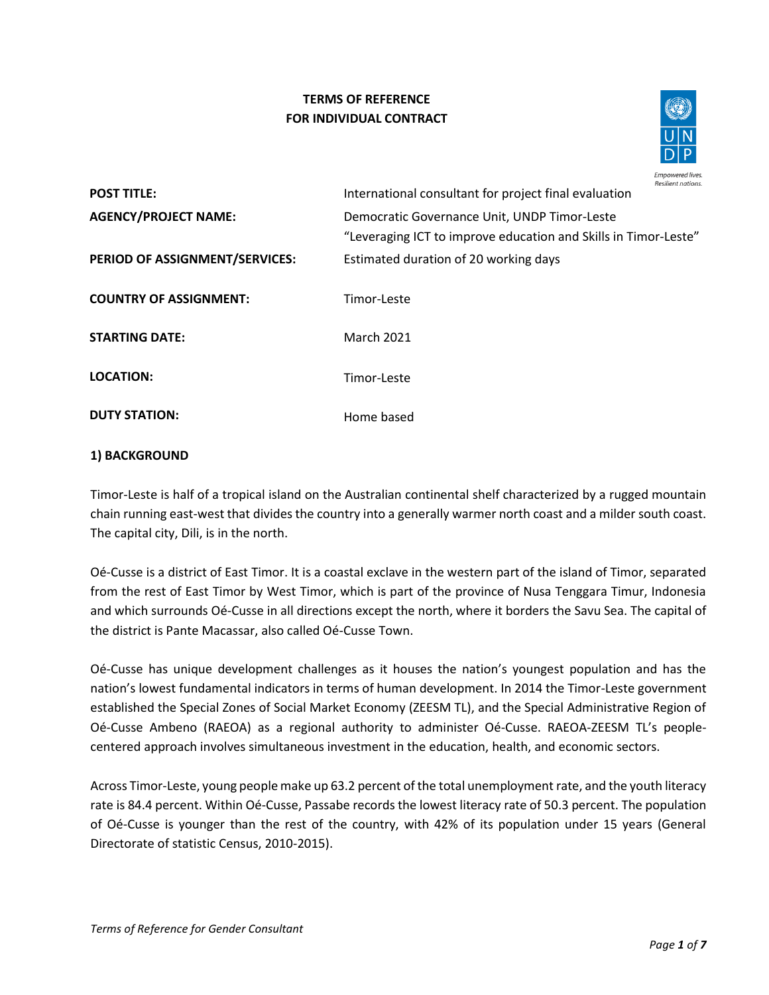# **TERMS OF REFERENCE FOR INDIVIDUAL CONTRACT**



| <b>POST TITLE:</b>             | Resilient nations.<br>International consultant for project final evaluation                                     |
|--------------------------------|-----------------------------------------------------------------------------------------------------------------|
| <b>AGENCY/PROJECT NAME:</b>    | Democratic Governance Unit, UNDP Timor-Leste<br>"Leveraging ICT to improve education and Skills in Timor-Leste" |
| PERIOD OF ASSIGNMENT/SERVICES: | Estimated duration of 20 working days                                                                           |
| <b>COUNTRY OF ASSIGNMENT:</b>  | Timor-Leste                                                                                                     |
| <b>STARTING DATE:</b>          | <b>March 2021</b>                                                                                               |
| <b>LOCATION:</b>               | Timor-Leste                                                                                                     |
| <b>DUTY STATION:</b>           | Home based                                                                                                      |

## **1) BACKGROUND**

Timor-Leste is half of a tropical island on the Australian continental shelf characterized by a rugged mountain chain running east-west that divides the country into a generally warmer north coast and a milder south coast. The capital city, Dili, is in the north.

Oé-Cusse is a district of East Timor. It is a coastal exclave in the western part of the island of Timor, separated from the rest of East Timor by West Timor, which is part of the province of Nusa Tenggara Timur, Indonesia and which surrounds Oé-Cusse in all directions except the north, where it borders the Savu Sea. The capital of the district is Pante Macassar, also called Oé-Cusse Town.

Oé-Cusse has unique development challenges as it houses the nation's youngest population and has the nation's lowest fundamental indicators in terms of human development. In 2014 the Timor-Leste government established the Special Zones of Social Market Economy (ZEESM TL), and the Special Administrative Region of Oé-Cusse Ambeno (RAEOA) as a regional authority to administer Oé-Cusse. RAEOA-ZEESM TL's peoplecentered approach involves simultaneous investment in the education, health, and economic sectors.

Across Timor-Leste, young people make up 63.2 percent of the total unemployment rate, and the youth literacy rate is 84.4 percent. Within Oé-Cusse, Passabe records the lowest literacy rate of 50.3 percent. The population of Oé-Cusse is younger than the rest of the country, with 42% of its population under 15 years (General Directorate of statistic Census, 2010-2015).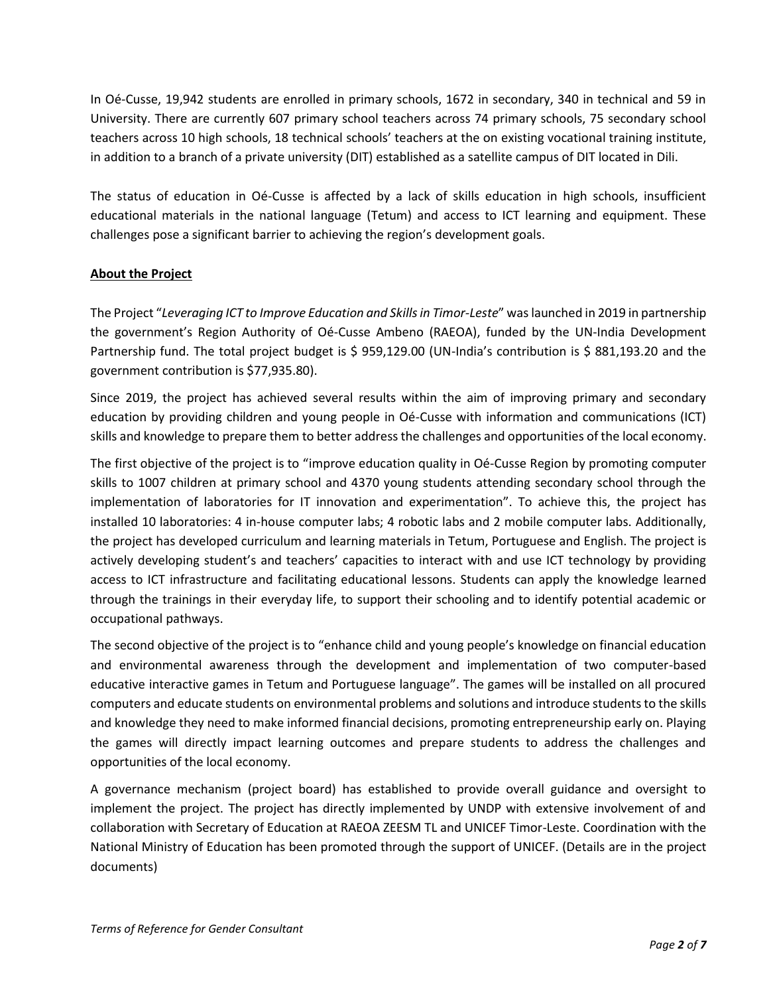In Oé-Cusse, 19,942 students are enrolled in primary schools, 1672 in secondary, 340 in technical and 59 in University. There are currently 607 primary school teachers across 74 primary schools, 75 secondary school teachers across 10 high schools, 18 technical schools' teachers at the on existing vocational training institute, in addition to a branch of a private university (DIT) established as a satellite campus of DIT located in Dili.

The status of education in Oé-Cusse is affected by a lack of skills education in high schools, insufficient educational materials in the national language (Tetum) and access to ICT learning and equipment. These challenges pose a significant barrier to achieving the region's development goals.

### **About the Project**

The Project "*Leveraging ICT to Improve Education and Skills in Timor-Leste*" was launched in 2019 in partnership the government's Region Authority of Oé-Cusse Ambeno (RAEOA), funded by the UN-India Development Partnership fund. The total project budget is \$ 959,129.00 (UN-India's contribution is \$ 881,193.20 and the government contribution is \$77,935.80).

Since 2019, the project has achieved several results within the aim of improving primary and secondary education by providing children and young people in Oé-Cusse with information and communications (ICT) skills and knowledge to prepare them to better address the challenges and opportunities of the local economy.

The first objective of the project is to "improve education quality in Oé-Cusse Region by promoting computer skills to 1007 children at primary school and 4370 young students attending secondary school through the implementation of laboratories for IT innovation and experimentation". To achieve this, the project has installed 10 laboratories: 4 in-house computer labs; 4 robotic labs and 2 mobile computer labs. Additionally, the project has developed curriculum and learning materials in Tetum, Portuguese and English. The project is actively developing student's and teachers' capacities to interact with and use ICT technology by providing access to ICT infrastructure and facilitating educational lessons. Students can apply the knowledge learned through the trainings in their everyday life, to support their schooling and to identify potential academic or occupational pathways.

The second objective of the project is to "enhance child and young people's knowledge on financial education and environmental awareness through the development and implementation of two computer-based educative interactive games in Tetum and Portuguese language". The games will be installed on all procured computers and educate students on environmental problems and solutions and introduce students to the skills and knowledge they need to make informed financial decisions, promoting entrepreneurship early on. Playing the games will directly impact learning outcomes and prepare students to address the challenges and opportunities of the local economy.

A governance mechanism (project board) has established to provide overall guidance and oversight to implement the project. The project has directly implemented by UNDP with extensive involvement of and collaboration with Secretary of Education at RAEOA ZEESM TL and UNICEF Timor-Leste. Coordination with the National Ministry of Education has been promoted through the support of UNICEF. (Details are in the project documents)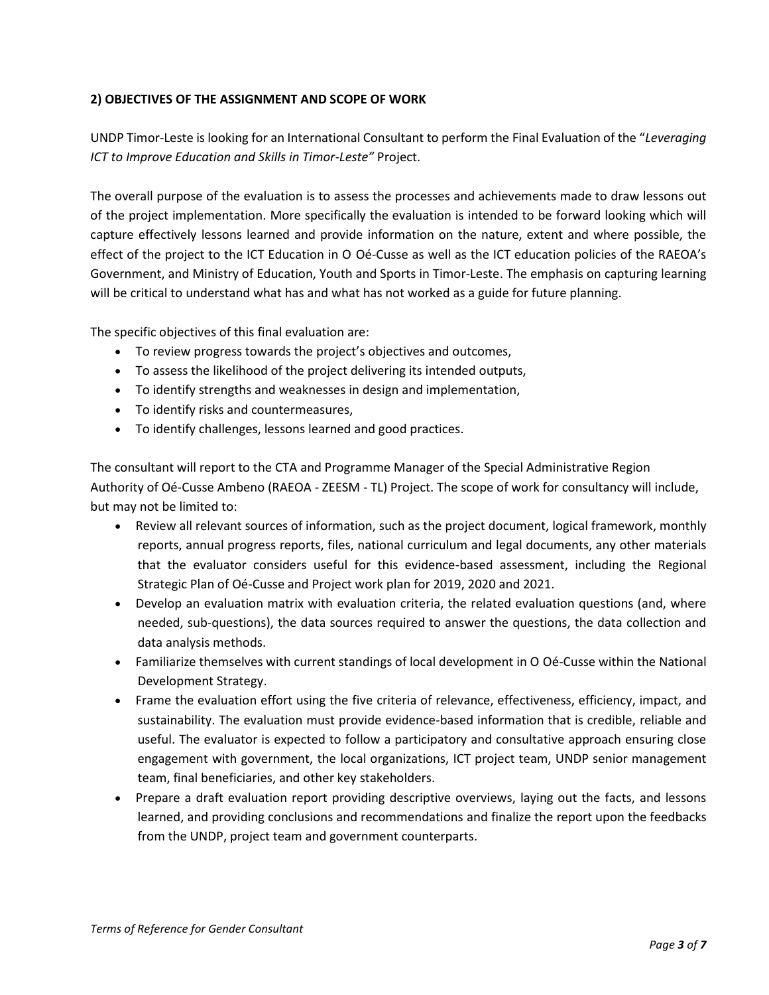## **2) OBJECTIVES OF THE ASSIGNMENT AND SCOPE OF WORK**

UNDP Timor-Leste is looking for an International Consultant to perform the Final Evaluation of the "*Leveraging ICT to Improve Education and Skills in Timor-Leste"* Project.

The overall purpose of the evaluation is to assess the processes and achievements made to draw lessons out of the project implementation. More specifically the evaluation is intended to be forward looking which will capture effectively lessons learned and provide information on the nature, extent and where possible, the effect of the project to the ICT Education in O Oé-Cusse as well as the ICT education policies of the RAEOA's Government, and Ministry of Education, Youth and Sports in Timor-Leste. The emphasis on capturing learning will be critical to understand what has and what has not worked as a guide for future planning.

The specific objectives of this final evaluation are:

- To review progress towards the project's objectives and outcomes,
- To assess the likelihood of the project delivering its intended outputs,
- To identify strengths and weaknesses in design and implementation,
- To identify risks and countermeasures,
- To identify challenges, lessons learned and good practices.

The consultant will report to the CTA and Programme Manager of the Special Administrative Region Authority of Oé-Cusse Ambeno (RAEOA - ZEESM - TL) Project. The scope of work for consultancy will include, but may not be limited to:

- Review all relevant sources of information, such as the project document, logical framework, monthly reports, annual progress reports, files, national curriculum and legal documents, any other materials that the evaluator considers useful for this evidence-based assessment, including the Regional Strategic Plan of Oé-Cusse and Project work plan for 2019, 2020 and 2021.
- Develop an evaluation matrix with evaluation criteria, the related evaluation questions (and, where needed, sub-questions), the data sources required to answer the questions, the data collection and data analysis methods.
- Familiarize themselves with current standings of local development in O Oé-Cusse within the National Development Strategy.
- Frame the evaluation effort using the five criteria of relevance, effectiveness, efficiency, impact, and sustainability. The evaluation must provide evidence-based information that is credible, reliable and useful. The evaluator is expected to follow a participatory and consultative approach ensuring close engagement with government, the local organizations, ICT project team, UNDP senior management team, final beneficiaries, and other key stakeholders.
- Prepare a draft evaluation report providing descriptive overviews, laying out the facts, and lessons learned, and providing conclusions and recommendations and finalize the report upon the feedbacks from the UNDP, project team and government counterparts.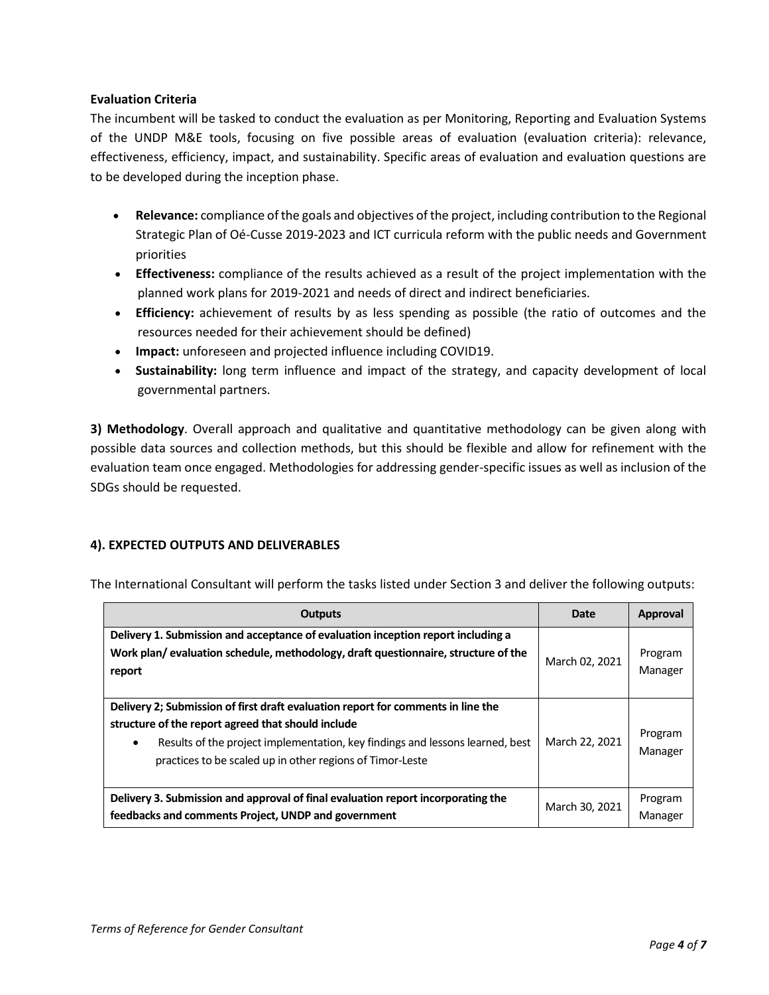### **Evaluation Criteria**

The incumbent will be tasked to conduct the evaluation as per Monitoring, Reporting and Evaluation Systems of the UNDP M&E tools, focusing on five possible areas of evaluation (evaluation criteria): relevance, effectiveness, efficiency, impact, and sustainability. Specific areas of evaluation and evaluation questions are to be developed during the inception phase.

- **Relevance:** compliance of the goals and objectives of the project, including contribution to the Regional Strategic Plan of Oé-Cusse 2019-2023 and ICT curricula reform with the public needs and Government priorities
- **Effectiveness:** compliance of the results achieved as a result of the project implementation with the planned work plans for 2019-2021 and needs of direct and indirect beneficiaries.
- **Efficiency:** achievement of results by as less spending as possible (the ratio of outcomes and the resources needed for their achievement should be defined)
- **Impact:** unforeseen and projected influence including COVID19.
- **Sustainability:** long term influence and impact of the strategy, and capacity development of local governmental partners.

**3) Methodology**. Overall approach and qualitative and quantitative methodology can be given along with possible data sources and collection methods, but this should be flexible and allow for refinement with the evaluation team once engaged. Methodologies for addressing gender-specific issues as well as inclusion of the SDGs should be requested.

## **4). EXPECTED OUTPUTS AND DELIVERABLES**

| <b>Outputs</b>                                                                                                                                                                                                                                                                       | Date           | Approval           |
|--------------------------------------------------------------------------------------------------------------------------------------------------------------------------------------------------------------------------------------------------------------------------------------|----------------|--------------------|
| Delivery 1. Submission and acceptance of evaluation inception report including a<br>Work plan/evaluation schedule, methodology, draft questionnaire, structure of the<br>report                                                                                                      | March 02, 2021 | Program<br>Manager |
| Delivery 2; Submission of first draft evaluation report for comments in line the<br>structure of the report agreed that should include<br>Results of the project implementation, key findings and lessons learned, best<br>practices to be scaled up in other regions of Timor-Leste | March 22, 2021 | Program<br>Manager |
| Delivery 3. Submission and approval of final evaluation report incorporating the<br>feedbacks and comments Project, UNDP and government                                                                                                                                              | March 30, 2021 | Program<br>Manager |

The International Consultant will perform the tasks listed under Section 3 and deliver the following outputs: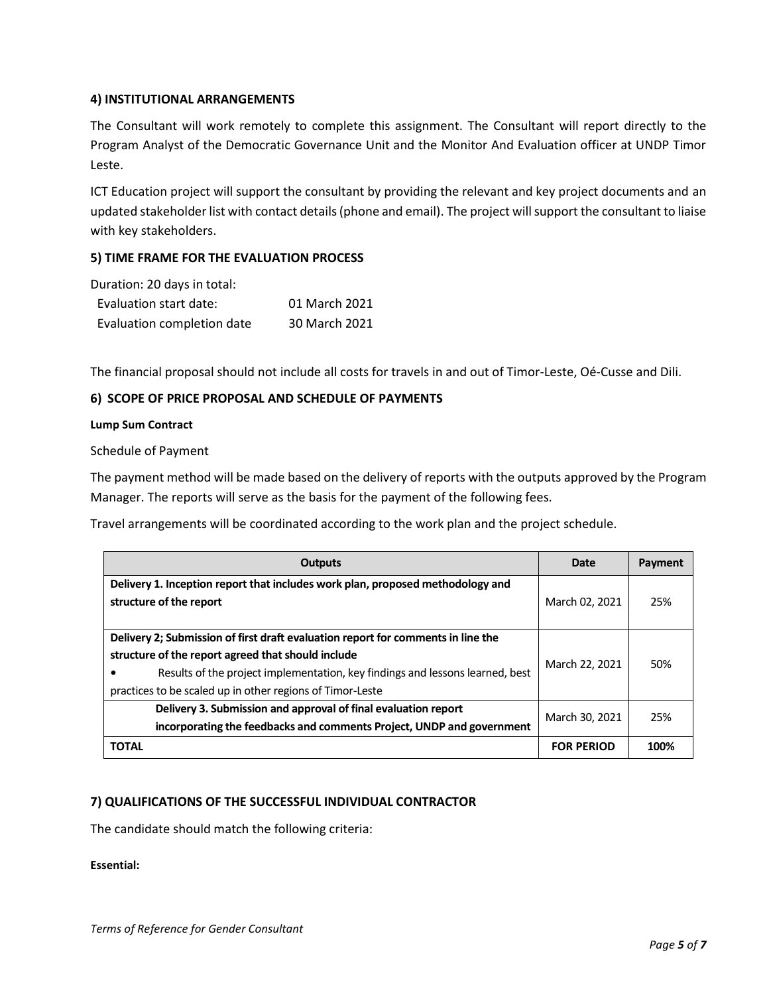### **4) INSTITUTIONAL ARRANGEMENTS**

The Consultant will work remotely to complete this assignment. The Consultant will report directly to the Program Analyst of the Democratic Governance Unit and the Monitor And Evaluation officer at UNDP Timor Leste.

ICT Education project will support the consultant by providing the relevant and key project documents and an updated stakeholder list with contact details (phone and email). The project will support the consultant to liaise with key stakeholders.

### **5) TIME FRAME FOR THE EVALUATION PROCESS**

| Duration: 20 days in total: |               |
|-----------------------------|---------------|
| Evaluation start date:      | 01 March 2021 |
| Evaluation completion date  | 30 March 2021 |

The financial proposal should not include all costs for travels in and out of Timor-Leste, Oé-Cusse and Dili.

### **6) SCOPE OF PRICE PROPOSAL AND SCHEDULE OF PAYMENTS**

#### **Lump Sum Contract**

Schedule of Payment

The payment method will be made based on the delivery of reports with the outputs approved by the Program Manager. The reports will serve as the basis for the payment of the following fees.

Travel arrangements will be coordinated according to the work plan and the project schedule.

| <b>Outputs</b>                                                                                                                                                                                                                                                                       | Date              | Payment |
|--------------------------------------------------------------------------------------------------------------------------------------------------------------------------------------------------------------------------------------------------------------------------------------|-------------------|---------|
| Delivery 1. Inception report that includes work plan, proposed methodology and<br>structure of the report                                                                                                                                                                            | March 02, 2021    | 25%     |
| Delivery 2; Submission of first draft evaluation report for comments in line the<br>structure of the report agreed that should include<br>Results of the project implementation, key findings and lessons learned, best<br>practices to be scaled up in other regions of Timor-Leste | March 22, 2021    | 50%     |
| Delivery 3. Submission and approval of final evaluation report<br>incorporating the feedbacks and comments Project, UNDP and government                                                                                                                                              | March 30, 2021    | 25%     |
| <b>TOTAL</b>                                                                                                                                                                                                                                                                         | <b>FOR PERIOD</b> | 100%    |

### **7) QUALIFICATIONS OF THE SUCCESSFUL INDIVIDUAL CONTRACTOR**

The candidate should match the following criteria:

**Essential:**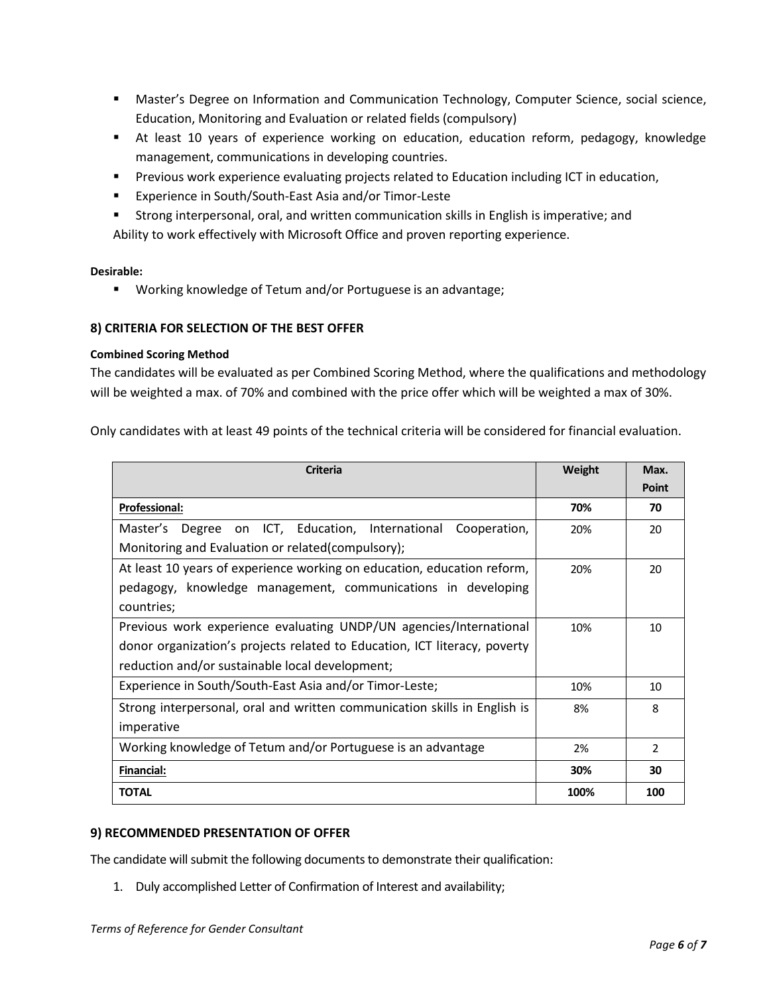- Master's Degree on Information and Communication Technology, Computer Science, social science, Education, Monitoring and Evaluation or related fields (compulsory)
- **EXEC** At least 10 years of experience working on education, education reform, pedagogy, knowledge management, communications in developing countries.
- **•** Previous work experience evaluating projects related to Education including ICT in education,
- Experience in South/South-East Asia and/or Timor-Leste
- Strong interpersonal, oral, and written communication skills in English is imperative; and Ability to work effectively with Microsoft Office and proven reporting experience.

#### **Desirable:**

■ Working knowledge of Tetum and/or Portuguese is an advantage;

### **8) CRITERIA FOR SELECTION OF THE BEST OFFER**

#### **Combined Scoring Method**

The candidates will be evaluated as per Combined Scoring Method, where the qualifications and methodology will be weighted a max. of 70% and combined with the price offer which will be weighted a max of 30%.

Only candidates with at least 49 points of the technical criteria will be considered for financial evaluation.

| <b>Criteria</b>                                                           | Weight | Max.          |
|---------------------------------------------------------------------------|--------|---------------|
|                                                                           |        | <b>Point</b>  |
| <b>Professional:</b>                                                      | 70%    | 70            |
| Degree on ICT, Education, International<br>Master's<br>Cooperation,       | 20%    | 20            |
| Monitoring and Evaluation or related(compulsory);                         |        |               |
| At least 10 years of experience working on education, education reform,   | 20%    | 20            |
| pedagogy, knowledge management, communications in developing              |        |               |
| countries;                                                                |        |               |
| Previous work experience evaluating UNDP/UN agencies/International        | 10%    | 10            |
| donor organization's projects related to Education, ICT literacy, poverty |        |               |
| reduction and/or sustainable local development;                           |        |               |
| Experience in South/South-East Asia and/or Timor-Leste;                   | 10%    | 10            |
| Strong interpersonal, oral and written communication skills in English is | 8%     | 8             |
| imperative                                                                |        |               |
| Working knowledge of Tetum and/or Portuguese is an advantage              | 2%     | $\mathcal{P}$ |
| <b>Financial:</b>                                                         | 30%    | 30            |
| <b>TOTAL</b>                                                              | 100%   | 100           |

### **9) RECOMMENDED PRESENTATION OF OFFER**

The candidate will submit the following documents to demonstrate their qualification:

1. Duly accomplished Letter of Confirmation of Interest and availability;